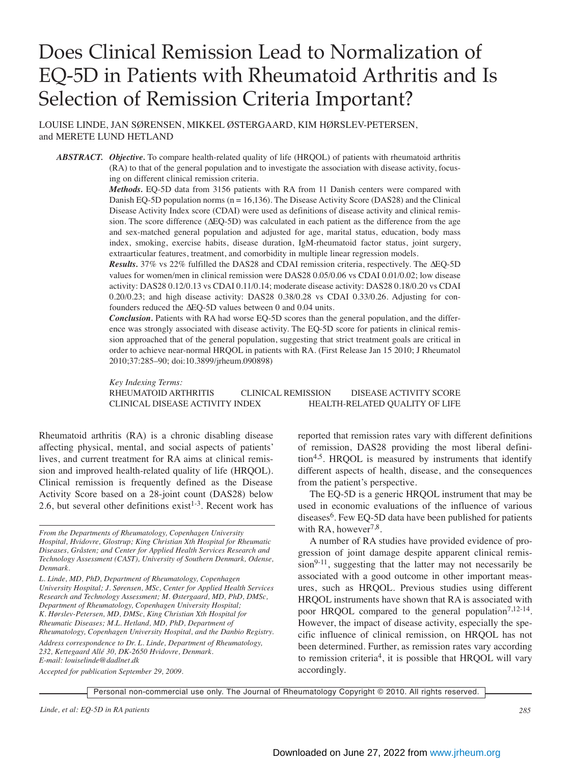# Does Clinical Remission Lead to Normalization of EQ-5D in Patients with Rheumatoid Arthritis and Is Selection of Remission Criteria Important?

LOUISE LINDE, JAN SØRENSEN, MIKKEL ØSTERGAARD, KIM HØRSLEV-PETERSEN, and MERETE LUND HETLAND

*ABSTRACT. Objective.* To compare health-related quality of life (HRQOL) of patients with rheumatoid arthritis (RA) to that of the general population and to investigate the association with disease activity, focusing on different clinical remission criteria.

> *Methods.* EQ-5D data from 3156 patients with RA from 11 Danish centers were compared with Danish EQ-5D population norms ( $n = 16,136$ ). The Disease Activity Score (DAS28) and the Clinical Disease Activity Index score (CDAI) were used as definitions of disease activity and clinical remission. The score difference (∆EQ-5D) was calculated in each patient as the difference from the age and sex-matched general population and adjusted for age, marital status, education, body mass index, smoking, exercise habits, disease duration, IgM-rheumatoid factor status, joint surgery, extraarticular features, treatment, and comorbidity in multiple linear regression models.

> *Results.* 37% vs 22% fulfilled the DAS28 and CDAI remission criteria, respectively. The ∆EQ-5D values for women/men in clinical remission were DAS28 0.05/0.06 vs CDAI 0.01/0.02; low disease activity: DAS28 0.12/0.13 vs CDAI 0.11/0.14; moderate disease activity: DAS28 0.18/0.20 vs CDAI 0.20/0.23; and high disease activity: DAS28 0.38/0.28 vs CDAI 0.33/0.26. Adjusting for confounders reduced the ∆EQ-5D values between 0 and 0.04 units.

> *Conclusion.* Patients with RA had worse EQ-5D scores than the general population, and the difference was strongly associated with disease activity. The EQ-5D score for patients in clinical remission approached that of the general population, suggesting that strict treatment goals are critical in order to achieve near-normal HRQOL in patients with RA. (First Release Jan 15 2010; J Rheumatol 2010;37:285–90; doi:10.3899/jrheum.090898)

> *Key Indexing Terms:* RHEUMATOID ARTHRITIS CLINICAL REMISSION DISEASE ACTIVITY SCORE CLINICAL DISEASE ACTIVITY INDEX HEALTH-RELATED QUALITY OF LIFE

Rheumatoid arthritis (RA) is a chronic disabling disease affecting physical, mental, and social aspects of patients' lives, and current treatment for RA aims at clinical remission and improved health-related quality of life (HRQOL). Clinical remission is frequently defined as the Disease Activity Score based on a 28-joint count (DAS28) below 2.6, but several other definitions exist<sup>1-3</sup>. Recent work has

*L. Linde, MD, PhD, Department of Rheumatology, Copenhagen University Hospital; J. Sørensen, MSc, Center for Applied Health Services Research and Technology Assessment; M. Østergaard, MD, PhD, DMSc, Department of Rheumatology, Copenhagen University Hospital; K. Hørslev-Petersen, MD, DMSc, King Christian Xth Hospital for Rheumatic Diseases; M.L. Hetland, MD, PhD, Department of Rheumatology, Copenhagen University Hospital, and the Danbio Registry.*

*Address correspondence to Dr. L. Linde, Department of Rheumatology, 232, Kettegaard Allé 30, DK-2650 Hvidovre, Denmark. E-mail: louiselinde@dadlnet.dk*

*Accepted for publication September 29, 2009.*

reported that remission rates vary with different definitions of remission, DAS28 providing the most liberal definition<sup>4,5</sup>. HRQOL is measured by instruments that identify different aspects of health, disease, and the consequences from the patient's perspective.

The EQ-5D is a generic HRQOL instrument that may be used in economic evaluations of the influence of various  $disease<sup>6</sup>$ . Few EQ-5D data have been published for patients with RA, however<sup>7,8</sup>.

A number of RA studies have provided evidence of progression of joint damage despite apparent clinical remis $sion<sup>9-11</sup>$ , suggesting that the latter may not necessarily be associated with a good outcome in other important measures, such as HRQOL. Previous studies using different HRQOL instruments have shown that RA is associated with poor HRQOL compared to the general population<sup>7,12-14</sup>. However, the impact of disease activity, especially the specific influence of clinical remission, on HRQOL has not been determined. Further, as remission rates vary according to remission criteria<sup>4</sup>, it is possible that HRQOL will vary accordingly.

Personal non-commercial use only. The Journal of Rheumatology Copyright © 2010. All rights reserved.

*Linde, et al: EQ-5D in RA patients 285*

*From the Departments of Rheumatology, Copenhagen University Hospital, Hvidovre, Glostrup; King Christian Xth Hospital for Rheumatic Diseases, Gråsten; and Center for Applied Health Services Research and Technology Assessment (CAST), University of Southern Denmark, Odense, Denmark.*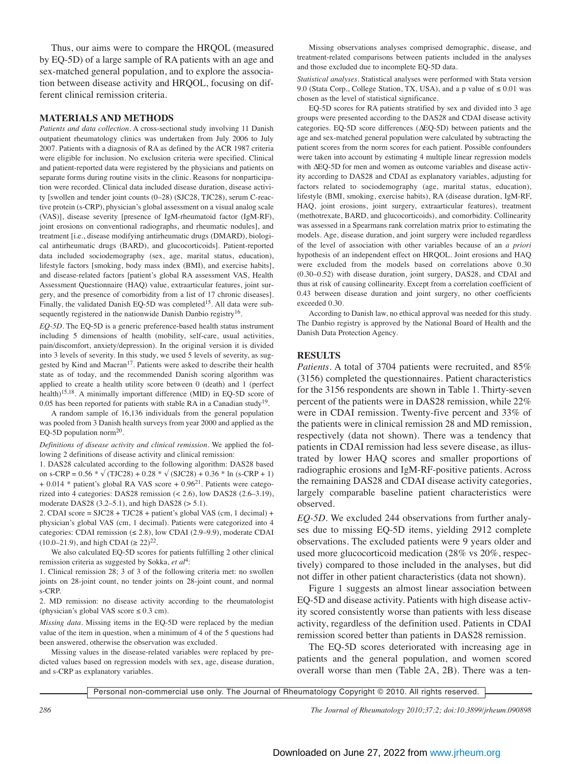Thus, our aims were to compare the HRQOL (measured by EQ-5D) of a large sample of RA patients with an age and sex-matched general population, and to explore the association between disease activity and HRQOL, focusing on different clinical remission criteria.

## **MATERIALS AND METHODS**

*Patients and data collection.* A cross-sectional study involving 11 Danish outpatient rheumatology clinics was undertaken from July 2006 to July 2007. Patients with a diagnosis of RA as defined by the ACR 1987 criteria were eligible for inclusion. No exclusion criteria were specified. Clinical and patient-reported data were registered by the physicians and patients on separate forms during routine visits in the clinic. Reasons for nonparticipation were recorded. Clinical data included disease duration, disease activity [swollen and tender joint counts (0–28) (SJC28, TJC28), serum C-reactive protein (s-CRP), physician's global assessment on a visual analog scale (VAS)], disease severity [presence of IgM-rheumatoid factor (IgM-RF), joint erosions on conventional radiographs, and rheumatic nodules], and treatment [i.e., disease modifying antirheumatic drugs (DMARD), biological antirheumatic drugs (BARD), and glucocorticoids]. Patient-reported data included sociodemography (sex, age, marital status, education), lifestyle factors [smoking, body mass index (BMI), and exercise habits], and disease-related factors [patient's global RA assessment VAS, Health Assessment Questionnaire (HAQ) value, extraarticular features, joint surgery, and the presence of comorbidity from a list of 17 chronic diseases]. Finally, the validated Danish EQ-5D was completed<sup>15</sup>. All data were subsequently registered in the nationwide Danish Danbio registry<sup>16</sup>.

*EQ-5D.* The EQ-5D is a generic preference-based health status instrument including 5 dimensions of health (mobility, self-care, usual activities, pain/discomfort, anxiety/depression). In the original version it is divided into 3 levels of severity. In this study, we used 5 levels of severity, as suggested by Kind and Macran<sup>17</sup>. Patients were asked to describe their health state as of today, and the recommended Danish scoring algorithm was applied to create a health utility score between 0 (death) and 1 (perfect health)15,18. A minimally important difference (MID) in EQ-5D score of 0.05 has been reported for patients with stable RA in a Canadian study<sup>19</sup>.

A random sample of 16,136 individuals from the general population was pooled from 3 Danish health surveys from year 2000 and applied as the EQ-5D population norm $^{20}$ .

*Definitions of disease activity and clinical remission.* We applied the following 2 definitions of disease activity and clinical remission:

1. DAS28 calculated according to the following algorithm: DAS28 based on s-CRP =  $0.56 * \sqrt{(TJC28) + 0.28 * \sqrt{(SJC28) + 0.36 * \ln (s-CRP + 1)}}$  $+ 0.014 *$  patient's global RA VAS score  $+ 0.96<sup>21</sup>$ . Patients were categorized into 4 categories: DAS28 remission (< 2.6), low DAS28 (2.6–3.19), moderate DAS28  $(3.2-5.1)$ , and high DAS28  $(> 5.1)$ .

2. CDAI score = SJC28 + TJC28 + patient's global VAS (cm, 1 decimal) + physician's global VAS (cm, 1 decimal). Patients were categorized into 4 categories: CDAI remission  $(\leq 2.8)$ , low CDAI (2.9–9.9), moderate CDAI  $(10.0-21.9)$ , and high CDAI ( $\ge 22$ )<sup>22</sup>.

We also calculated EQ-5D scores for patients fulfilling 2 other clinical remission criteria as suggested by Sokka, *et al*4:

1. Clinical remission 28; 3 of 3 of the following criteria met: no swollen joints on 28-joint count, no tender joints on 28-joint count, and normal s-CRP.

2. MD remission: no disease activity according to the rheumatologist (physician's global VAS score  $\leq 0.3$  cm).

*Missing data.* Missing items in the EQ-5D were replaced by the median value of the item in question, when a minimum of 4 of the 5 questions had been answered, otherwise the observation was excluded.

Missing values in the disease-related variables were replaced by predicted values based on regression models with sex, age, disease duration, and s-CRP as explanatory variables.

Missing observations analyses comprised demographic, disease, and treatment-related comparisons between patients included in the analyses and those excluded due to incomplete EQ-5D data.

*Statistical analyses.* Statistical analyses were performed with Stata version 9.0 (Stata Corp., College Station, TX, USA), and a p value of ≤ 0.01 was chosen as the level of statistical significance.

EQ-5D scores for RA patients stratified by sex and divided into 3 age groups were presented according to the DAS28 and CDAI disease activity categories. EQ-5D score differences (∆EQ-5D) between patients and the age and sex-matched general population were calculated by subtracting the patient scores from the norm scores for each patient. Possible confounders were taken into account by estimating 4 multiple linear regression models with ∆EQ-5D for men and women as outcome variables and disease activity according to DAS28 and CDAI as explanatory variables, adjusting for factors related to sociodemography (age, marital status, education), lifestyle (BMI, smoking, exercise habits), RA (disease duration, IgM-RF, HAQ, joint erosions, joint surgery, extraarticular features), treatment (methotrexate, BARD, and glucocorticoids), and comorbidity. Collinearity was assessed in a Spearmans rank correlation matrix prior to estimating the models. Age, disease duration, and joint surgery were included regardless of the level of association with other variables because of an *a priori* hypothesis of an independent effect on HRQOL. Joint erosions and HAQ were excluded from the models based on correlations above 0.30 (0.30–0.52) with disease duration, joint surgery, DAS28, and CDAI and thus at risk of causing collinearity. Except from a correlation coefficient of 0.43 between disease duration and joint surgery, no other coefficients exceeded 0.30.

According to Danish law, no ethical approval was needed for this study. The Danbio registry is approved by the National Board of Health and the Danish Data Protection Agency.

### **RESULTS**

*Patients.* A total of 3704 patients were recruited, and 85% (3156) completed the questionnaires. Patient characteristics for the 3156 respondents are shown in Table 1. Thirty-seven percent of the patients were in DAS28 remission, while 22% were in CDAI remission. Twenty-five percent and 33% of the patients were in clinical remission 28 and MD remission, respectively (data not shown). There was a tendency that patients in CDAI remission had less severe disease, as illustrated by lower HAQ scores and smaller proportions of radiographic erosions and IgM-RF-positive patients. Across the remaining DAS28 and CDAI disease activity categories, largely comparable baseline patient characteristics were observed.

*EQ-5D.* We excluded 244 observations from further analyses due to missing EQ-5D items, yielding 2912 complete observations. The excluded patients were 9 years older and used more glucocorticoid medication (28% vs 20%, respectively) compared to those included in the analyses, but did not differ in other patient characteristics (data not shown).

Figure 1 suggests an almost linear association between EQ-5D and disease activity. Patients with high disease activity scored consistently worse than patients with less disease activity, regardless of the definition used. Patients in CDAI remission scored better than patients in DAS28 remission.

The EQ-5D scores deteriorated with increasing age in patients and the general population, and women scored overall worse than men (Table 2A, 2B). There was a ten-

Personal non-commercial use only. The Journal of Rheumatology Copyright © 2010. All rights reserved.

*286 The Journal of Rheumatology 2010;37:2; doi:10.3899/jrheum.090898*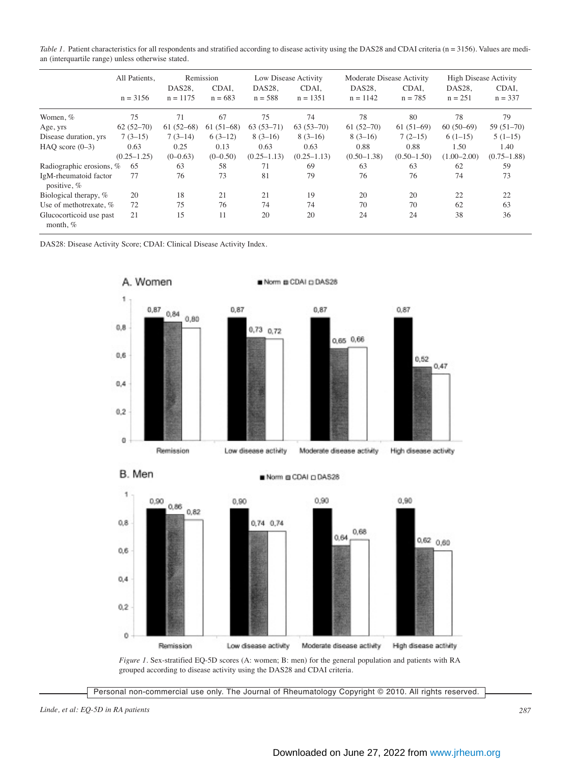*Table 1*. Patient characteristics for all respondents and stratified according to disease activity using the DAS28 and CDAI criteria (n = 3156). Values are median (interquartile range) unless otherwise stated.

|                                       | All Patients,   |                      | Remission          |                     | Low Disease Activity | Moderate Disease Activity |                    | <b>High Disease Activity</b> |                    |  |
|---------------------------------------|-----------------|----------------------|--------------------|---------------------|----------------------|---------------------------|--------------------|------------------------------|--------------------|--|
|                                       | $n = 3156$      | DAS28,<br>$n = 1175$ | CDAI.<br>$n = 683$ | DAS28.<br>$n = 588$ | CDAI,<br>$n = 1351$  | DAS28,<br>$n = 1142$      | CDAI,<br>$n = 785$ | DAS28.<br>$n = 251$          | CDAI,<br>$n = 337$ |  |
| Women, %                              | 75              | 71                   | 67                 | 75                  | 74                   | 78                        | 80                 | 78                           | 79                 |  |
| Age, yrs                              | $62(52-70)$     | $61(52-68)$          | $61(51-68)$        | $63(53-71)$         | $63(53-70)$          | $61(52-70)$               | $61(51-69)$        | $60(50-69)$                  | $59(51-70)$        |  |
| Disease duration, yrs                 | $7(3-15)$       | $7(3-14)$            | $6(3-12)$          | $8(3-16)$           | $8(3-16)$            | $8(3-16)$                 | $7(2-15)$          | $6(1-15)$                    | $5(1-15)$          |  |
| HAO score $(0-3)$                     | 0.63            | 0.25                 | 0.13               | 0.63                | 0.63                 | 0.88                      | 0.88               | 1.50                         | 1.40               |  |
|                                       | $(0.25 - 1.25)$ | $(0-0.63)$           | $(0-0.50)$         | $(0.25 - 1.13)$     | $(0.25 - 1.13)$      | $(0.50 - 1.38)$           | $(0.50 - 1.50)$    | $(1.00 - 2.00)$              | $(0.75 - 1.88)$    |  |
| Radiographic erosions, %              | 65              | 63                   | 58                 | 71                  | 69                   | 63                        | 63                 | 62                           | 59                 |  |
| IgM-rheumatoid factor<br>positive, %  | 77              | 76                   | 73                 | 81                  | 79                   | 76                        | 76                 | 74                           | 73                 |  |
| Biological therapy, %                 | 20              | 18                   | 21                 | 21                  | 19                   | 20                        | 20                 | 22                           | 22                 |  |
| Use of methotrexate, $%$              | 72              | 75                   | 76                 | 74                  | 74                   | 70                        | 70                 | 62                           | 63                 |  |
| Glucocorticoid use past<br>month, $%$ | 21              | 15                   | 11                 | 20                  | 20                   | 24                        | 24                 | 38                           | 36                 |  |

DAS28: Disease Activity Score; CDAI: Clinical Disease Activity Index.



*Figure 1.* Sex-stratified EQ-5D scores (A: women; B: men) for the general population and patients with RA grouped according to disease activity using the DAS28 and CDAI criteria.

Low disease activity

Moderate disease activity

Personal non-commercial use only. The Journal of Rheumatology Copyright © 2010. All rights reserved.

0

Remission

High disease activity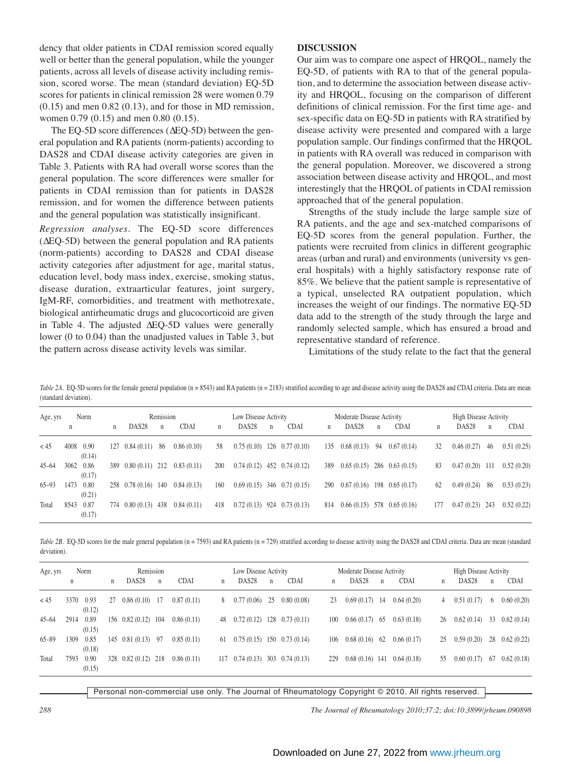dency that older patients in CDAI remission scored equally well or better than the general population, while the younger patients, across all levels of disease activity including remission, scored worse. The mean (standard deviation) EQ-5D scores for patients in clinical remission 28 were women 0.79  $(0.15)$  and men  $0.82$   $(0.13)$ , and for those in MD remission, women 0.79 (0.15) and men 0.80 (0.15).

The EQ-5D score differences (∆EQ-5D) between the general population and RA patients (norm-patients) according to DAS28 and CDAI disease activity categories are given in Table 3. Patients with RA had overall worse scores than the general population. The score differences were smaller for patients in CDAI remission than for patients in DAS28 remission, and for women the difference between patients and the general population was statistically insignificant.

*Regression analyses.* The EQ-5D score differences (∆EQ-5D) between the general population and RA patients (norm-patients) according to DAS28 and CDAI disease activity categories after adjustment for age, marital status, education level, body mass index, exercise, smoking status, disease duration, extraarticular features, joint surgery, IgM-RF, comorbidities, and treatment with methotrexate, biological antirheumatic drugs and glucocorticoid are given in Table 4. The adjusted ∆EQ-5D values were generally lower (0 to 0.04) than the unadjusted values in Table 3, but the pattern across disease activity levels was similar.

### **DISCUSSION**

Our aim was to compare one aspect of HRQOL, namely the EQ-5D, of patients with RA to that of the general population, and to determine the association between disease activity and HRQOL, focusing on the comparison of different definitions of clinical remission. For the first time age- and sex-specific data on EQ-5D in patients with RA stratified by disease activity were presented and compared with a large population sample. Our findings confirmed that the HRQOL in patients with RA overall was reduced in comparison with the general population. Moreover, we discovered a strong association between disease activity and HRQOL, and most interestingly that the HRQOL of patients in CDAI remission approached that of the general population.

Strengths of the study include the large sample size of RA patients, and the age and sex-matched comparisons of EQ-5D scores from the general population. Further, the patients were recruited from clinics in different geographic areas (urban and rural) and environments (university vs general hospitals) with a highly satisfactory response rate of 85%. We believe that the patient sample is representative of a typical, unselected RA outpatient population, which increases the weight of our findings. The normative EQ-5D data add to the strength of the study through the large and randomly selected sample, which has ensured a broad and representative standard of reference.

Limitations of the study relate to the fact that the general

Table 2A. EQ-5D scores for the female general population (n = 8543) and RA patients (n = 2183) stratified according to age and disease activity using the DAS28 and CDAI criteria. Data are mean (standard deviation).

| Age, yrs  |             | Norm           |             |                               | Remission    |             |     | Low Disease Activity |              |                               |   | Moderate Disease Activity         |              |                   |             | <b>High Disease Activity</b> |              |             |
|-----------|-------------|----------------|-------------|-------------------------------|--------------|-------------|-----|----------------------|--------------|-------------------------------|---|-----------------------------------|--------------|-------------------|-------------|------------------------------|--------------|-------------|
|           | $\mathbf n$ |                | $\mathbf n$ | DAS <sub>28</sub>             | $\mathsf{n}$ | <b>CDAI</b> | n   | DAS <sub>28</sub>    | $\mathsf{n}$ | <b>CDAI</b>                   | n | DAS <sub>28</sub>                 | $\mathsf{n}$ | <b>CDAI</b>       | $\mathbf n$ | DAS <sub>28</sub>            | $\mathsf{n}$ | <b>CDAI</b> |
| < 45      | 4008        | 0.90<br>(0.14) |             | $127 \quad 0.84 \quad (0.11)$ | -86          | 0.86(0.10)  | 58  |                      |              | $0.75(0.10)$ 126 0.77 (0.10)  |   | $135 \quad 0.68 \ (0.13)$         | 94           | 0.67(0.14)        | 32          | 0.46(0.27)                   | 46           | 0.51(0.25)  |
| $45 - 64$ | 3062        | 0.86<br>(0.17) |             | 389 0.80 (0.11) 212           |              | 0.83(0.11)  | 200 |                      |              | $0.74(0.12)$ 452 0.74 (0.12)  |   | 389 0.65 (0.15) 286 0.63 (0.15)   |              |                   | 83          | 0.47(0.20)                   | 111          | 0.52(0.20)  |
| $65 - 93$ | 1473        | 0.80<br>(0.21) |             | 258 0.78 (0.16) 140           |              | 0.84(0.13)  | 160 |                      |              | $0.69(0.15)$ 346 0.71 (0.15)  |   | $290\quad 0.67\ (0.16)$           |              | $198$ 0.65 (0.17) | 62          | 0.49(0.24)                   | 86           | 0.53(0.23)  |
| Total     | 8543        | 0.87<br>(0.17) |             | 774 0.80 (0.13) 438           |              | 0.84(0.11)  | 418 |                      |              | $0.72(0.13)$ 924 $0.73(0.13)$ |   | $814$ 0.66 (0.15) 578 0.65 (0.16) |              |                   | 177         | 0.47(0.23)                   | 243          | 0.52(0.22)  |

Table 2B. EQ-5D scores for the male general population (n = 7593) and RA patients (n = 729) stratified according to disease activity using the DAS28 and CDAI criteria. Data are mean (standard deviation).

| Norm<br>Age, yrs |      |                | Remission |                     |             |             | Low Disease Activity |                   |    |                               | Moderate Disease Activity |                   |             |             | <b>High Disease Activity</b> |                   |            |                  |
|------------------|------|----------------|-----------|---------------------|-------------|-------------|----------------------|-------------------|----|-------------------------------|---------------------------|-------------------|-------------|-------------|------------------------------|-------------------|------------|------------------|
|                  | n    |                | n         | DAS <sub>28</sub>   | $\mathbf n$ | <b>CDAI</b> | n                    | DAS <sub>28</sub> | n  | <b>CDAI</b>                   | n                         | DAS <sub>28</sub> | $\mathbf n$ | <b>CDAI</b> | n                            | DAS <sub>28</sub> | n          | <b>CDAI</b>      |
| < 45             | 3370 | 0.93<br>(0.12) | 27        | 0.86(0.10)          | -17         | 0.87(0.11)  | 8                    | 0.77(0.06)        | 25 | 0.80(0.08)                    | 23                        | 0.69(0.17)        | 14          | 0.64(0.20)  | 4                            | 0.51(0.17)        | $^{\circ}$ | 0.60(0.20)       |
| $45 - 64$        | 2914 | 0.89<br>(0.15) |           | 156 0.82 (0.12) 104 |             | 0.86(0.11)  | 48                   | 0.72(0.12)        |    | $128$ 0.73 (0.11)             | 100                       | $0.66(0.17)$ 65   |             | 0.63(0.18)  | 26                           | 0.62(0.14)        | 33         | 0.62(0.14)       |
| $65 - 89$        | 1309 | 0.85<br>(0.18) |           | $145$ 0.81 (0.13)   | 97          | 0.85(0.11)  | 61                   | 0.75(0.15)        |    | $150 \quad 0.73 \ (0.14)$     | 106                       | $0.68(0.16)$ 62   |             | 0.66(0.17)  | 25                           | 0.59(0.20)        |            | $28$ 0.62 (0.22) |
| Total            | 7593 | 0.90<br>(0.15) |           | 328 0.82 (0.12)     | 218         | 0.86(0.11)  | 117                  | 0.74(0.13)        |    | $303 \quad 0.74 \quad (0.13)$ | 229                       | $0.68(0.16)$ 141  |             | 0.64(0.18)  | 55                           | $0.60(0.17)$ 67   |            | 0.62(0.18)       |

Personal non-commercial use only. The Journal of Rheumatology Copyright © 2010. All rights reserved.

*288 The Journal of Rheumatology 2010;37:2; doi:10.3899/jrheum.090898*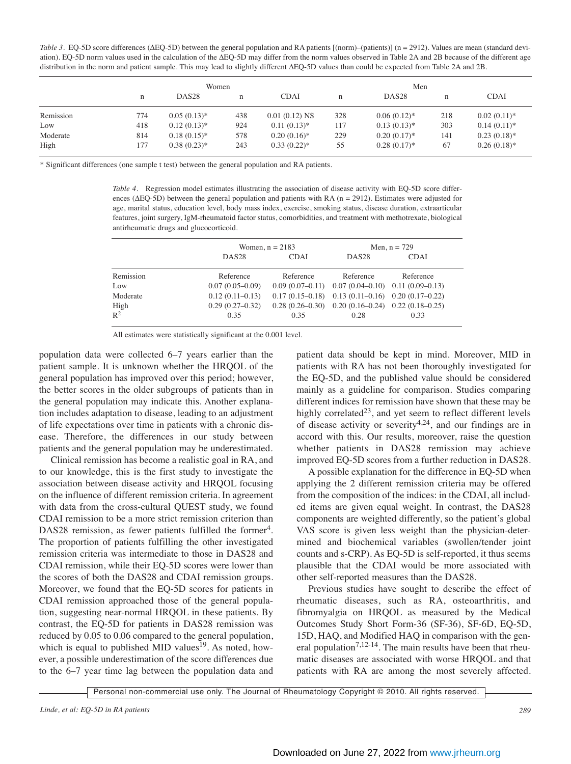Table 3. EQ-5D score differences (ΔEQ-5D) between the general population and RA patients [(norm)–(patients)] (n = 2912). Values are mean (standard deviation). EQ-5D norm values used in the calculation of the ∆EQ-5D may differ from the norm values observed in Table 2A and 2B because of the different age distribution in the norm and patient sample. This may lead to slightly different ∆EQ-5D values than could be expected from Table 2A and 2B.

|           |     | Women             |             |                 |     |                   |     |                |
|-----------|-----|-------------------|-------------|-----------------|-----|-------------------|-----|----------------|
|           | n   | DAS <sub>28</sub> | $\mathbf n$ | <b>CDAI</b>     | n   | DAS <sub>28</sub> | n   | <b>CDAI</b>    |
| Remission | 774 | $0.05(0.13)*$     | 438         | $0.01(0.12)$ NS | 328 | $0.06(0.12)$ *    | 218 | $0.02(0.11)*$  |
| Low       | 418 | $0.12(0.13)*$     | 924         | $0.11(0.13)$ *  | 117 | $0.13(0.13)*$     | 303 | $0.14(0.11)*$  |
| Moderate  | 814 | $0.18(0.15)^*$    | 578         | $0.20(0.16)$ *  | 229 | $0.20(0.17)$ *    | 141 | $0.23(0.18)$ * |
| High      | 177 | $0.38(0.23)*$     | 243         | $0.33(0.22)*$   | 55  | $0.28(0.17)$ *    | 67  | $0.26(0.18)$ * |

\* Significant differences (one sample t test) between the general population and RA patients.

*Table 4.* Regression model estimates illustrating the association of disease activity with EQ-5D score differences (∆EQ-5D) between the general population and patients with RA (n = 2912). Estimates were adjusted for age, marital status, education level, body mass index, exercise, smoking status, disease duration, extraarticular features, joint surgery, IgM-rheumatoid factor status, comorbidities, and treatment with methotrexate, biological antirheumatic drugs and glucocorticoid.

|                        |                     | Women, $n = 2183$ | Men, $n = 729$                                        |             |  |  |  |
|------------------------|---------------------|-------------------|-------------------------------------------------------|-------------|--|--|--|
|                        | DAS <sub>28</sub>   | <b>CDAI</b>       | DAS <sub>28</sub>                                     | <b>CDAI</b> |  |  |  |
| Remission              | Reference           | Reference         | Reference                                             | Reference   |  |  |  |
| Low                    | $0.07(0.05-0.09)$   |                   | $0.09(0.07-0.11)$ $0.07(0.04-0.10)$ $0.11(0.09-0.13)$ |             |  |  |  |
| Moderate               | $0.12(0.11 - 0.13)$ |                   | $0.17(0.15-0.18)$ $0.13(0.11-0.16)$ $0.20(0.17-0.22)$ |             |  |  |  |
|                        | $0.29(0.27-0.32)$   |                   | $0.28(0.26-0.30)$ $0.20(0.16-0.24)$ $0.22(0.18-0.25)$ |             |  |  |  |
| High<br>R <sup>2</sup> | 0.35                | 0.35              | 0.28                                                  | 0.33        |  |  |  |

All estimates were statistically significant at the 0.001 level.

population data were collected 6–7 years earlier than the patient sample. It is unknown whether the HRQOL of the general population has improved over this period; however, the better scores in the older subgroups of patients than in the general population may indicate this. Another explanation includes adaptation to disease, leading to an adjustment of life expectations over time in patients with a chronic disease. Therefore, the differences in our study between patients and the general population may be underestimated.

Clinical remission has become a realistic goal in RA, and to our knowledge, this is the first study to investigate the association between disease activity and HRQOL focusing on the influence of different remission criteria. In agreement with data from the cross-cultural QUEST study, we found CDAI remission to be a more strict remission criterion than DAS28 remission, as fewer patients fulfilled the former<sup>4</sup>. The proportion of patients fulfilling the other investigated remission criteria was intermediate to those in DAS28 and CDAI remission, while their EQ-5D scores were lower than the scores of both the DAS28 and CDAI remission groups. Moreover, we found that the EQ-5D scores for patients in CDAI remission approached those of the general population, suggesting near-normal HRQOL in these patients. By contrast, the EQ-5D for patients in DAS28 remission was reduced by 0.05 to 0.06 compared to the general population, which is equal to published MID values<sup>19</sup>. As noted, however, a possible underestimation of the score differences due to the 6–7 year time lag between the population data and

patient data should be kept in mind. Moreover, MID in patients with RA has not been thoroughly investigated for the EQ-5D, and the published value should be considered mainly as a guideline for comparison. Studies comparing different indices for remission have shown that these may be highly correlated<sup>23</sup>, and yet seem to reflect different levels of disease activity or severity<sup>4,24</sup>, and our findings are in accord with this. Our results, moreover, raise the question whether patients in DAS28 remission may achieve improved EQ-5D scores from a further reduction in DAS28.

A possible explanation for the difference in EQ-5D when applying the 2 different remission criteria may be offered from the composition of the indices: in the CDAI, all included items are given equal weight. In contrast, the DAS28 components are weighted differently, so the patient's global VAS score is given less weight than the physician-determined and biochemical variables (swollen/tender joint counts and s-CRP). As EQ-5D is self-reported, it thus seems plausible that the CDAI would be more associated with other self-reported measures than the DAS28.

Previous studies have sought to describe the effect of rheumatic diseases, such as RA, osteoarthritis, and fibromyalgia on HRQOL as measured by the Medical Outcomes Study Short Form-36 (SF-36), SF-6D, EQ-5D, 15D, HAQ, and Modified HAQ in comparison with the general population<sup>7,12-14</sup>. The main results have been that rheumatic diseases are associated with worse HRQOL and that patients with RA are among the most severely affected.

Personal non-commercial use only. The Journal of Rheumatology Copyright © 2010. All rights reserved.